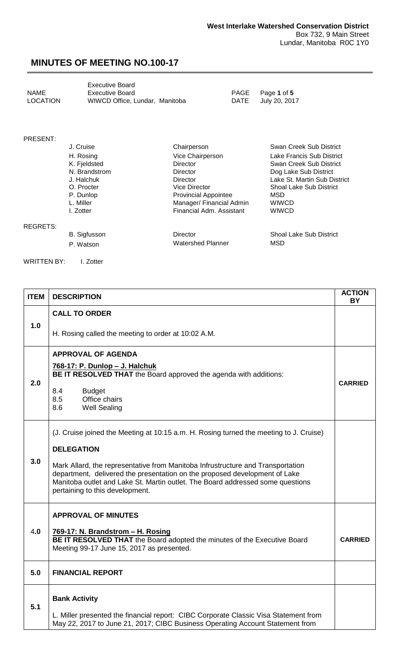<span id="page-0-0"></span>

|                 | <b>Executive Board</b>         |
|-----------------|--------------------------------|
| <b>NAME</b>     | Executive Board                |
| <b>LOCATION</b> | WIWCD Office, Lundar, Manitoba |

PAGE Page 1 of 5<br>DATE July 20, 201 July 20, 2017

#### PRESENT:

|                 | J. Cruise     | Chairperson                 | Swan Creek Sub District        |
|-----------------|---------------|-----------------------------|--------------------------------|
|                 | H. Rosing     | Vice Chairperson            | Lake Francis Sub District      |
|                 | K. Fjeldsted  | <b>Director</b>             | Swan Creek Sub District        |
|                 | N. Brandstrom | <b>Director</b>             | Dog Lake Sub District          |
|                 | J. Halchuk    | Director                    | Lake St. Martin Sub District   |
|                 | O. Procter    | Vice Director               | Shoal Lake Sub District        |
|                 | P. Dunlop     | <b>Provincial Appointee</b> | <b>MSD</b>                     |
|                 | L. Miller     | Manager/ Financial Admin    | <b>WIWCD</b>                   |
|                 | I. Zotter     | Financial Adm. Assistant    | <b>WIWCD</b>                   |
| <b>REGRETS:</b> |               |                             |                                |
|                 | B. Sigfusson  | <b>Director</b>             | <b>Shoal Lake Sub District</b> |

P. Watson MSD Watershed Planner MSD

WRITTEN BY: I. Zotter

| <b>ITEM</b> | <b>DESCRIPTION</b>                                                                                                                                                                                                                                                                                                                                                                                | <b>ACTION</b><br>BY |
|-------------|---------------------------------------------------------------------------------------------------------------------------------------------------------------------------------------------------------------------------------------------------------------------------------------------------------------------------------------------------------------------------------------------------|---------------------|
| 1.0         | <b>CALL TO ORDER</b>                                                                                                                                                                                                                                                                                                                                                                              |                     |
|             | H. Rosing called the meeting to order at 10:02 A.M.<br><b>APPROVAL OF AGENDA</b>                                                                                                                                                                                                                                                                                                                  |                     |
| 2.0         | 768-17: P. Dunlop - J. Halchuk<br>BE IT RESOLVED THAT the Board approved the agenda with additions:<br>8.4<br><b>Budget</b><br>8.5<br>Office chairs<br>8.6<br><b>Well Sealing</b>                                                                                                                                                                                                                 | <b>CARRIED</b>      |
| 3.0         | (J. Cruise joined the Meeting at 10:15 a.m. H. Rosing turned the meeting to J. Cruise)<br><b>DELEGATION</b><br>Mark Allard, the representative from Manitoba Infrustructure and Transportation<br>department, delivered the presentation on the proposed development of Lake<br>Manitoba outlet and Lake St. Martin outlet. The Board addressed some questions<br>pertaining to this development. |                     |
| 4.0         | <b>APPROVAL OF MINUTES</b><br>769-17: N. Brandstrom - H. Rosing<br>BE IT RESOLVED THAT the Board adopted the minutes of the Executive Board<br>Meeting 99-17 June 15, 2017 as presented.                                                                                                                                                                                                          | <b>CARRIED</b>      |
| 5.0         | <b>FINANCIAL REPORT</b>                                                                                                                                                                                                                                                                                                                                                                           |                     |
| 5.1         | <b>Bank Activity</b><br>L. Miller presented the financial report: CIBC Corporate Classic Visa Statement from<br>May 22, 2017 to June 21, 2017; CIBC Business Operating Account Statement from                                                                                                                                                                                                     |                     |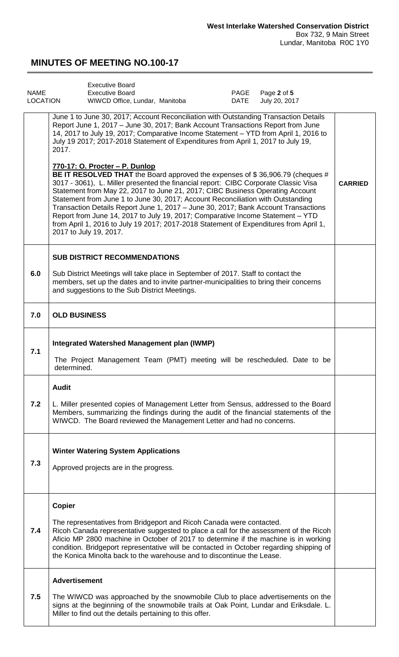<span id="page-1-0"></span>

| <b>NAME</b><br>LOCATION | <b>Executive Board</b><br>Page 2 of 5<br><b>Executive Board</b><br>PAGE<br>WIWCD Office, Lundar, Manitoba<br>DATE<br>July 20, 2017                                                                                                                                                                                                                                                                                                                                                                                                                                                                                                                                    |                |
|-------------------------|-----------------------------------------------------------------------------------------------------------------------------------------------------------------------------------------------------------------------------------------------------------------------------------------------------------------------------------------------------------------------------------------------------------------------------------------------------------------------------------------------------------------------------------------------------------------------------------------------------------------------------------------------------------------------|----------------|
|                         | June 1 to June 30, 2017; Account Reconciliation with Outstanding Transaction Details<br>Report June 1, 2017 - June 30, 2017; Bank Account Transactions Report from June<br>14, 2017 to July 19, 2017; Comparative Income Statement - YTD from April 1, 2016 to<br>July 19 2017; 2017-2018 Statement of Expenditures from April 1, 2017 to July 19,<br>2017.                                                                                                                                                                                                                                                                                                           |                |
|                         | 770-17: O. Procter - P. Dunlop<br>BE IT RESOLVED THAT the Board approved the expenses of \$36,906.79 (cheques #<br>3017 - 3061), L. Miller presented the financial report: CIBC Corporate Classic Visa<br>Statement from May 22, 2017 to June 21, 2017; CIBC Business Operating Account<br>Statement from June 1 to June 30, 2017; Account Reconciliation with Outstanding<br>Transaction Details Report June 1, 2017 - June 30, 2017; Bank Account Transactions<br>Report from June 14, 2017 to July 19, 2017; Comparative Income Statement - YTD<br>from April 1, 2016 to July 19 2017; 2017-2018 Statement of Expenditures from April 1,<br>2017 to July 19, 2017. | <b>CARRIED</b> |
|                         | <b>SUB DISTRICT RECOMMENDATIONS</b>                                                                                                                                                                                                                                                                                                                                                                                                                                                                                                                                                                                                                                   |                |
| 6.0                     | Sub District Meetings will take place in September of 2017. Staff to contact the<br>members, set up the dates and to invite partner-municipalities to bring their concerns<br>and suggestions to the Sub District Meetings.                                                                                                                                                                                                                                                                                                                                                                                                                                           |                |
| 7.0                     | <b>OLD BUSINESS</b>                                                                                                                                                                                                                                                                                                                                                                                                                                                                                                                                                                                                                                                   |                |
| 7.1                     | Integrated Watershed Management plan (IWMP)<br>The Project Management Team (PMT) meeting will be rescheduled. Date to be<br>determined.                                                                                                                                                                                                                                                                                                                                                                                                                                                                                                                               |                |
| 7.2                     | <b>Audit</b><br>L. Miller presented copies of Management Letter from Sensus, addressed to the Board<br>Members, summarizing the findings during the audit of the financial statements of the<br>WIWCD. The Board reviewed the Management Letter and had no concerns.                                                                                                                                                                                                                                                                                                                                                                                                  |                |
| 7.3                     | <b>Winter Watering System Applications</b><br>Approved projects are in the progress.                                                                                                                                                                                                                                                                                                                                                                                                                                                                                                                                                                                  |                |
| 7.4                     | <b>Copier</b><br>The representatives from Bridgeport and Ricoh Canada were contacted.<br>Ricoh Canada representative suggested to place a call for the assessment of the Ricoh<br>Aficio MP 2800 machine in October of 2017 to determine if the machine is in working<br>condition. Bridgeport representative will be contacted in October regarding shipping of<br>the Konica Minolta back to the warehouse and to discontinue the Lease.                                                                                                                                                                                                                            |                |
| 7.5                     | <b>Advertisement</b><br>The WIWCD was approached by the snowmobile Club to place advertisements on the<br>signs at the beginning of the snowmobile trails at Oak Point, Lundar and Eriksdale. L.<br>Miller to find out the details pertaining to this offer.                                                                                                                                                                                                                                                                                                                                                                                                          |                |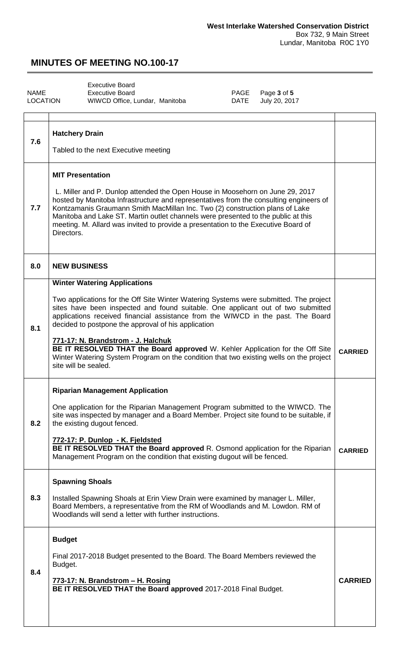<span id="page-2-0"></span>

|          | <b>Executive Board</b>         |      |                  |
|----------|--------------------------------|------|------------------|
| NAME     | Executive Board                |      | PAGE Page 3 of 5 |
| LOCATION | WIWCD Office, Lundar, Manitoba | DATE | July 20, 2017    |

| 7.6 | <b>Hatchery Drain</b><br>Tabled to the next Executive meeting                                                                                                                                                                                                                                                                                                                                                                                                                                                                                                                                               |                |
|-----|-------------------------------------------------------------------------------------------------------------------------------------------------------------------------------------------------------------------------------------------------------------------------------------------------------------------------------------------------------------------------------------------------------------------------------------------------------------------------------------------------------------------------------------------------------------------------------------------------------------|----------------|
| 7.7 | <b>MIT Presentation</b><br>L. Miller and P. Dunlop attended the Open House in Moosehorn on June 29, 2017<br>hosted by Manitoba Infrastructure and representatives from the consulting engineers of<br>Kontzamanis Graumann Smith MacMillan Inc. Two (2) construction plans of Lake<br>Manitoba and Lake ST. Martin outlet channels were presented to the public at this<br>meeting. M. Allard was invited to provide a presentation to the Executive Board of<br>Directors.                                                                                                                                 |                |
| 8.0 | <b>NEW BUSINESS</b>                                                                                                                                                                                                                                                                                                                                                                                                                                                                                                                                                                                         |                |
| 8.1 | <b>Winter Watering Applications</b><br>Two applications for the Off Site Winter Watering Systems were submitted. The project<br>sites have been inspected and found suitable. One applicant out of two submitted<br>applications received financial assistance from the WIWCD in the past. The Board<br>decided to postpone the approval of his application<br>771-17: N. Brandstrom - J. Halchuk<br><b>BE IT RESOLVED THAT the Board approved</b> W. Kehler Application for the Off Site<br>Winter Watering System Program on the condition that two existing wells on the project<br>site will be sealed. | <b>CARRIED</b> |
| 8.2 | <b>Riparian Management Application</b><br>One application for the Riparian Management Program submitted to the WIWCD. The<br>site was inspected by manager and a Board Member. Project site found to be suitable, if<br>the existing dugout fenced.<br>772-17: P. Dunlop - K. Fjeldsted<br>BE IT RESOLVED THAT the Board approved R. Osmond application for the Riparian<br>Management Program on the condition that existing dugout will be fenced.                                                                                                                                                        | <b>CARRIED</b> |
| 8.3 | <b>Spawning Shoals</b><br>Installed Spawning Shoals at Erin View Drain were examined by manager L. Miller,<br>Board Members, a representative from the RM of Woodlands and M. Lowdon. RM of<br>Woodlands will send a letter with further instructions.                                                                                                                                                                                                                                                                                                                                                      |                |
| 8.4 | <b>Budget</b><br>Final 2017-2018 Budget presented to the Board. The Board Members reviewed the<br>Budget.<br>773-17: N. Brandstrom - H. Rosing<br>BE IT RESOLVED THAT the Board approved 2017-2018 Final Budget.                                                                                                                                                                                                                                                                                                                                                                                            | <b>CARRIED</b> |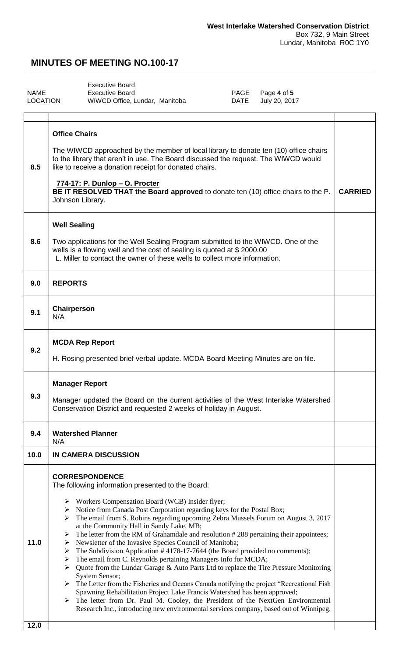<span id="page-3-0"></span>

|                 | <b>Executive Board</b>         |      |                  |
|-----------------|--------------------------------|------|------------------|
| NAME            | Executive Board                |      | PAGE Page 4 of 5 |
| <b>LOCATION</b> | WIWCD Office, Lundar, Manitoba | DATE | July 20, 2017    |

| 8.5          | <b>Office Chairs</b><br>The WIWCD approached by the member of local library to donate ten (10) office chairs<br>to the library that aren't in use. The Board discussed the request. The WIWCD would<br>like to receive a donation receipt for donated chairs.<br>774-17: P. Dunlop - O. Procter<br>BE IT RESOLVED THAT the Board approved to donate ten (10) office chairs to the P.<br>Johnson Library.                                                                                                                                                                                                                                                                                                                                                                                                                                                                                                                                                                                                                                                                                                                                                                                     |  |  |  |
|--------------|----------------------------------------------------------------------------------------------------------------------------------------------------------------------------------------------------------------------------------------------------------------------------------------------------------------------------------------------------------------------------------------------------------------------------------------------------------------------------------------------------------------------------------------------------------------------------------------------------------------------------------------------------------------------------------------------------------------------------------------------------------------------------------------------------------------------------------------------------------------------------------------------------------------------------------------------------------------------------------------------------------------------------------------------------------------------------------------------------------------------------------------------------------------------------------------------|--|--|--|
| 8.6          | <b>Well Sealing</b><br>Two applications for the Well Sealing Program submitted to the WIWCD. One of the<br>wells is a flowing well and the cost of sealing is quoted at \$2000.00<br>L. Miller to contact the owner of these wells to collect more information.                                                                                                                                                                                                                                                                                                                                                                                                                                                                                                                                                                                                                                                                                                                                                                                                                                                                                                                              |  |  |  |
| 9.0          | <b>REPORTS</b>                                                                                                                                                                                                                                                                                                                                                                                                                                                                                                                                                                                                                                                                                                                                                                                                                                                                                                                                                                                                                                                                                                                                                                               |  |  |  |
| 9.1          | Chairperson<br>N/A                                                                                                                                                                                                                                                                                                                                                                                                                                                                                                                                                                                                                                                                                                                                                                                                                                                                                                                                                                                                                                                                                                                                                                           |  |  |  |
| 9.2          | <b>MCDA Rep Report</b><br>H. Rosing presented brief verbal update. MCDA Board Meeting Minutes are on file.                                                                                                                                                                                                                                                                                                                                                                                                                                                                                                                                                                                                                                                                                                                                                                                                                                                                                                                                                                                                                                                                                   |  |  |  |
| 9.3          | <b>Manager Report</b><br>Manager updated the Board on the current activities of the West Interlake Watershed                                                                                                                                                                                                                                                                                                                                                                                                                                                                                                                                                                                                                                                                                                                                                                                                                                                                                                                                                                                                                                                                                 |  |  |  |
|              | Conservation District and requested 2 weeks of holiday in August.                                                                                                                                                                                                                                                                                                                                                                                                                                                                                                                                                                                                                                                                                                                                                                                                                                                                                                                                                                                                                                                                                                                            |  |  |  |
| 9.4          | <b>Watershed Planner</b><br>N/A                                                                                                                                                                                                                                                                                                                                                                                                                                                                                                                                                                                                                                                                                                                                                                                                                                                                                                                                                                                                                                                                                                                                                              |  |  |  |
| 10.0         | <b>IN CAMERA DISCUSSION</b>                                                                                                                                                                                                                                                                                                                                                                                                                                                                                                                                                                                                                                                                                                                                                                                                                                                                                                                                                                                                                                                                                                                                                                  |  |  |  |
| 11.0<br>12.0 | <b>CORRESPONDENCE</b><br>The following information presented to the Board:<br>> Workers Compensation Board (WCB) Insider flyer;<br>$\triangleright$ Notice from Canada Post Corporation regarding keys for the Postal Box;<br>$\triangleright$ The email from S. Robins regarding upcoming Zebra Mussels Forum on August 3, 2017<br>at the Community Hall in Sandy Lake, MB;<br>The letter from the RM of Grahamdale and resolution #288 pertaining their appointees;<br>➤<br>Newsletter of the Invasive Species Council of Manitoba;<br>➤<br>The Subdivision Application #4178-17-7644 (the Board provided no comments);<br>➤<br>The email from C. Reynolds pertaining Managers Info for MCDA;<br>➤<br>> Quote from the Lundar Garage & Auto Parts Ltd to replace the Tire Pressure Monitoring<br>System Sensor;<br>$\triangleright$ The Letter from the Fisheries and Oceans Canada notifying the project "Recreational Fish"<br>Spawning Rehabilitation Project Lake Francis Watershed has been approved;<br>The letter from Dr. Paul M. Cooley, the President of the NextGen Environmental<br>➤<br>Research Inc., introducing new environmental services company, based out of Winnipeg. |  |  |  |